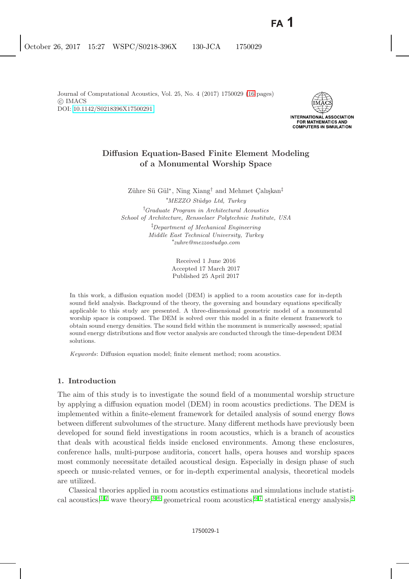

# **Diffusion Equation-Based Finite Element Modeling of a Monumental Worship Space**

Zühre Sü Gül<sup>∗</sup>, Ning Xiang<sup>†</sup> and Mehmet Calışkan<sup>‡</sup> ∗ MEZZO St¨udyo Ltd, Turkey

† Graduate Program in Architectural Acoustics School of Architecture, Rensselaer Polytechnic Institute, USA ‡ Department of Mechanical Engineering Middle East Technical University, Turkey ∗ zuhre@mezzostudyo.com

> Received 1 June 2016 Accepted 17 March 2017 Published 25 April 2017

In this work, a diffusion equation model (DEM) is applied to a room acoustics case for in-depth sound field analysis. Background of the theory, the governing and boundary equations specifically applicable to this study are presented. A three-dimensional geometric model of a monumental worship space is composed. The DEM is solved over this model in a finite element framework to obtain sound energy densities. The sound field within the monument is numerically assessed; spatial sound energy distributions and flow vector analysis are conducted through the time-dependent DEM solutions.

Keywords: Diffusion equation model; finite element method; room acoustics.

# **1. Introduction**

The aim of this study is to investigate the sound field of a monumental worship structure by applying a diffusion equation model (DEM) in room acoustics predictions. The DEM is implemented within a finite-element framework for detailed analysis of sound energy flows between different subvolumes of the structure. Many different methods have previously been developed for sound field investigations in room acoustics, which is a branch of acoustics that deals with acoustical fields inside enclosed environments. Among these enclosures, conference halls, multi-purpose auditoria, concert halls, opera houses and worship spaces most commonly necessitate detailed acoustical design. Especially in design phase of such speech or music-related venues, or for in-depth experimental analysis, theoretical models are utilized.

Classical theories applied in room acoustics estimations and simulations include statisti-cal acoustics,<sup>[1,](#page-14-1)[2](#page-14-2)</sup> wave theory,<sup>[3](#page-14-3)[–6](#page-14-4)</sup> geometrical room acoustics,<sup>[6](#page-14-4)[,7](#page-14-5)</sup> statistical energy analysis,<sup>[8](#page-14-6)</sup>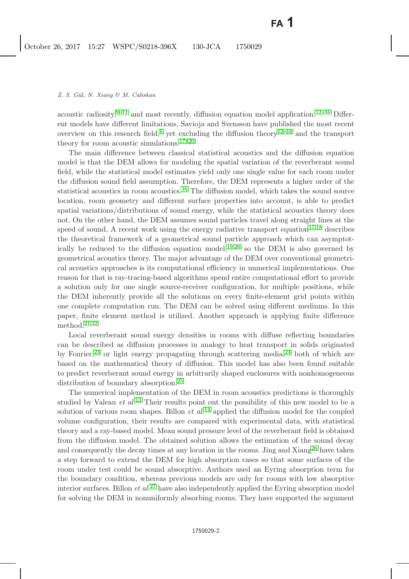acoustic radiosity, $9-11$  $9-11$  and most recently, diffusion equation model application.<sup>[12](#page-14-9)[–16](#page-14-10)</sup> Different models have different limitations, Savioja and Svensson have published the most recent overview on this research field,<sup>[6](#page-14-4)</sup> yet excluding the diffusion theory<sup>[12–](#page-14-9)[16](#page-14-10)</sup> and the transport theory for room acoustic simulations.<sup>[17–](#page-14-11)[20](#page-15-0)</sup>

The main difference between classical statistical acoustics and the diffusion equation model is that the DEM allows for modeling the spatial variation of the reverberant sound field, while the statistical model estimates yield only one single value for each room under the diffusion sound field assumption. Therefore, the DEM represents a higher order of the statistical acoustics in room acoustics.[16](#page-14-10) The diffusion model, which takes the sound source location, room geometry and different surface properties into account, is able to predict spatial variations/distributions of sound energy, while the statistical acoustics theory does not. On the other hand, the DEM assumes sound particles travel along straight lines at the speed of sound. A recent work using the energy radiative transport equation<sup>[17,](#page-14-11)[18](#page-15-1)</sup> describes the theoretical framework of a geometrical sound particle approach which can asymptotically be reduced to the diffusion equation model, $19,20$  $19,20$  so the DEM is also governed by geometrical acoustics theory. The major advantage of the DEM over conventional geometrical acoustics approaches is its computational efficiency in numerical implementations. One reason for that is ray-tracing-based algorithms spend entire computational effort to provide a solution only for one single source-receiver configuration, for multiple positions, while the DEM inherently provide all the solutions on every finite-element grid points within one complete computation run. The DEM can be solved using different mediums. In this paper, finite element method is utilized. Another approach is applying finite difference method. $21,22$  $21,22$ 

Local reverberant sound energy densities in rooms with diffuse reflecting boundaries can be described as diffusion processes in analogy to heat transport in solids originated by Fourier,<sup>[23](#page-15-5)</sup> or light energy propagating through scattering media,<sup>[24](#page-15-6)</sup> both of which are based on the mathematical theory of diffusion. This model has also been found suitable to predict reverberant sound energy in arbitrarily shaped enclosures with nonhomogeneous distribution of boundary absorption.[25](#page-15-7)

The numerical implementation of the DEM in room acoustics predictions is thoroughly studied by Valeau *et al.*[13](#page-14-12) Their results point out the possibility of this new model to be a solution of various room shapes. Billon *et al.*[14](#page-14-13) applied the diffusion model for the coupled volume configuration, their results are compared with experimental data, with statistical theory and a ray-based model. Mean sound pressure level of the reverberant field is obtained from the diffusion model. The obtained solution allows the estimation of the sound decay and consequently the decay times at any location in the rooms. Jing and  $Xiang^{26}$  $Xiang^{26}$  $Xiang^{26}$  have taken a step forward to extend the DEM for high absorption cases so that some surfaces of the room under test could be sound absorptive. Authors used an Eyring absorption term for the boundary condition, whereas previous models are only for rooms with low absorptive interior surfaces. Billon *et al.*[27](#page-15-9) have also independently applied the Eyring absorption model for solving the DEM in nonuniformly absorbing rooms. They have supported the argument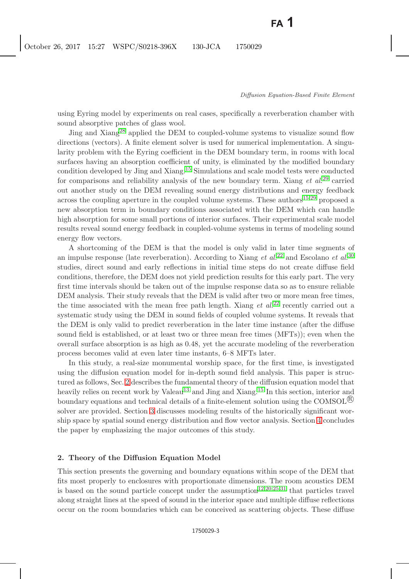using Eyring model by experiments on real cases, specifically a reverberation chamber with sound absorptive patches of glass wool.

Jing and Xiang<sup>[28](#page-15-10)</sup> applied the DEM to coupled-volume systems to visualize sound flow directions (vectors). A finite element solver is used for numerical implementation. A singularity problem with the Eyring coefficient in the DEM boundary term, in rooms with local surfaces having an absorption coefficient of unity, is eliminated by the modified boundary condition developed by Jing and Xiang.[15](#page-14-14) Simulations and scale model tests were conducted for comparisons and reliability analysis of the new boundary term. Xiang *et al.*[29](#page-15-11) carried out another study on the DEM revealing sound energy distributions and energy feedback across the coupling aperture in the coupled volume systems. These authors<sup>[15](#page-14-14)[,29](#page-15-11)</sup> proposed a new absorption term in boundary conditions associated with the DEM which can handle high absorption for some small portions of interior surfaces. Their experimental scale model results reveal sound energy feedback in coupled-volume systems in terms of modeling sound energy flow vectors.

A shortcoming of the DEM is that the model is only valid in later time segments of an impulse response (late reverberation). According to Xiang *et al.*[22](#page-15-4) and Escolano *et al.*[30](#page-15-12) studies, direct sound and early reflections in initial time steps do not create diffuse field conditions, therefore, the DEM does not yield prediction results for this early part. The very first time intervals should be taken out of the impulse response data so as to ensure reliable DEM analysis. Their study reveals that the DEM is valid after two or more mean free times, the time associated with the mean free path length. Xiang *et al.*[22](#page-15-4) recently carried out a systematic study using the DEM in sound fields of coupled volume systems. It reveals that the DEM is only valid to predict reverberation in the later time instance (after the diffuse sound field is established, or at least two or three mean free times (MFTs)); even when the overall surface absorption is as high as 0.48, yet the accurate modeling of the reverberation process becomes valid at even later time instants, 6–8 MFTs later.

In this study, a real-size monumental worship space, for the first time, is investigated using the diffusion equation model for in-depth sound field analysis. This paper is structured as follows, Sec. [2](#page-2-0) describes the fundamental theory of the diffusion equation model that heavily relies on recent work by Valeau<sup>[13](#page-14-12)</sup> and Jing and Xiang.<sup>[15](#page-14-14)</sup> In this section, interior and boundary equations and technical details of a finite-element solution using the COMSOL $\mathfrak{B}$ solver are provided. Section [3](#page-5-0) discusses modeling results of the historically significant worship space by spatial sound energy distribution and flow vector analysis. Section [4](#page-7-0) concludes the paper by emphasizing the major outcomes of this study.

### <span id="page-2-0"></span>**2. Theory of the Diffusion Equation Model**

This section presents the governing and boundary equations within scope of the DEM that fits most properly to enclosures with proportionate dimensions. The room acoustics DEM is based on the sound particle concept under the assumption<sup>[12](#page-14-9)[,20,](#page-15-0)[25,](#page-15-7)[31](#page-15-13)</sup> that particles travel along straight lines at the speed of sound in the interior space and multiple diffuse reflections occur on the room boundaries which can be conceived as scattering objects. These diffuse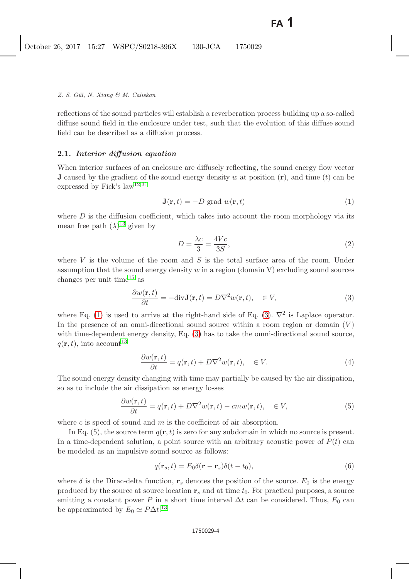reflections of the sound particles will establish a reverberation process building up a so-called diffuse sound field in the enclosure under test, such that the evolution of this diffuse sound field can be described as a diffusion process.

#### **2.1***. Interior diffusion equation*

When interior surfaces of an enclosure are diffusely reflecting, the sound energy flow vector **J** caused by the gradient of the sound energy density w at position  $(r)$ , and time  $(t)$  can be expressed by Fick's law<sup>[12,](#page-14-9)[31](#page-15-13)</sup>

<span id="page-3-0"></span>
$$
\mathbf{J}(\mathbf{r},t) = -D \text{ grad } w(\mathbf{r},t)
$$
 (1)

where  $D$  is the diffusion coefficient, which takes into account the room morphology via its mean free path  $(\lambda)^{13}$  $(\lambda)^{13}$  $(\lambda)^{13}$  given by

$$
D = \frac{\lambda c}{3} = \frac{4Vc}{3S},\tag{2}
$$

where  $V$  is the volume of the room and  $S$  is the total surface area of the room. Under assumption that the sound energy density  $w$  in a region (domain V) excluding sound sources changes per unit time<sup>[15](#page-14-14)</sup> as

$$
\frac{\partial w(\mathbf{r},t)}{\partial t} = -\text{div}\mathbf{J}(\mathbf{r},t) = D\nabla^2 w(\mathbf{r},t), \quad \in V,
$$
\n(3)

<span id="page-3-1"></span>where Eq. [\(1\)](#page-3-0) is used to arrive at the right-hand side of Eq. [\(3\)](#page-3-1).  $\nabla^2$  is Laplace operator. In the presence of an omni-directional sound source within a room region or domain  $(V)$ with time-dependent energy density, Eq. [\(3\)](#page-3-1) has to take the omni-directional sound source,  $q(\mathbf{r}, t)$ , into account<sup>[13](#page-14-12)</sup>

$$
\frac{\partial w(\mathbf{r},t)}{\partial t} = q(\mathbf{r},t) + D\nabla^2 w(\mathbf{r},t), \quad \in V. \tag{4}
$$

The sound energy density changing with time may partially be caused by the air dissipation, so as to include the air dissipation as energy losses

$$
\frac{\partial w(\mathbf{r},t)}{\partial t} = q(\mathbf{r},t) + D\nabla^2 w(\mathbf{r},t) - cm w(\mathbf{r},t), \quad \in V,
$$
\n(5)

where c is speed of sound and  $m$  is the coefficient of air absorption.

In Eq.  $(5)$ , the source term  $q(\mathbf{r}, t)$  is zero for any subdomain in which no source is present. In a time-dependent solution, a point source with an arbitrary acoustic power of  $P(t)$  can be modeled as an impulsive sound source as follows:

$$
q(\mathbf{r}_s, t) = E_0 \delta(\mathbf{r} - \mathbf{r}_s) \delta(t - t_0),
$$
\n(6)

where  $\delta$  is the Dirac-delta function,  $\mathbf{r}_s$  denotes the position of the source.  $E_0$  is the energy produced by the source at source location  $\mathbf{r}_s$  and at time  $t_0$ . For practical purposes, a source emitting a constant power P in a short time interval  $\Delta t$  can be considered. Thus,  $E_0$  can be approximated by  $E_0 \simeq P \Delta t$ .<sup>[13](#page-14-12)</sup>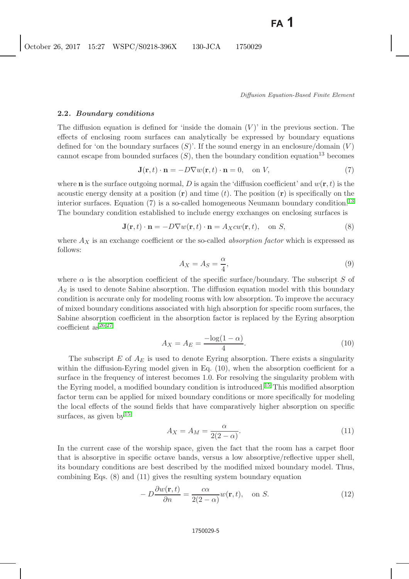#### **2.2***. Boundary conditions*

The diffusion equation is defined for 'inside the domain  $(V)$ ' in the previous section. The effects of enclosing room surfaces can analytically be expressed by boundary equations defined for 'on the boundary surfaces  $(S)$ '. If the sound energy in an enclosure/domain  $(V)$ cannot escape from bounded surfaces  $(S)$ , then the boundary condition equation<sup>13</sup> becomes

$$
\mathbf{J}(\mathbf{r},t)\cdot\mathbf{n} = -D\nabla w(\mathbf{r},t)\cdot\mathbf{n} = 0, \text{ on } V,
$$
\n(7)

where **n** is the surface outgoing normal, D is again the 'diffusion coefficient' and  $w(\mathbf{r}, t)$  is the acoustic energy density at a position  $(\mathbf{r})$  and time  $(t)$ . The position  $(\mathbf{r})$  is specifically on the interior surfaces. Equation  $(7)$  is a so-called homogeneous Neumann boundary condition.<sup>[13](#page-14-12)</sup> The boundary condition established to include energy exchanges on enclosing surfaces is

$$
\mathbf{J}(\mathbf{r},t)\cdot\mathbf{n} = -D\nabla w(\mathbf{r},t)\cdot\mathbf{n} = A_X c w(\mathbf{r},t), \text{ on } S,
$$
\n(8)

where A*<sup>X</sup>* is an exchange coefficient or the so-called *absorption factor* which is expressed as follows:

$$
A_X = A_S = \frac{\alpha}{4},\tag{9}
$$

where  $\alpha$  is the absorption coefficient of the specific surface/boundary. The subscript S of A*<sup>S</sup>* is used to denote Sabine absorption. The diffusion equation model with this boundary condition is accurate only for modeling rooms with low absorption. To improve the accuracy of mixed boundary conditions associated with high absorption for specific room surfaces, the Sabine absorption coefficient in the absorption factor is replaced by the Eyring absorption coefficient  $as^{26,27}$  $as^{26,27}$  $as^{26,27}$  $as^{26,27}$ 

$$
A_X = A_E = \frac{-\log(1 - \alpha)}{4}.
$$
\n(10)

The subscript E of  $A_E$  is used to denote Eyring absorption. There exists a singularity within the diffusion-Eyring model given in Eq. (10), when the absorption coefficient for a surface in the frequency of interest becomes 1.0. For resolving the singularity problem with the Eyring model, a modified boundary condition is introduced.[15](#page-14-14) This modified absorption factor term can be applied for mixed boundary conditions or more specifically for modeling the local effects of the sound fields that have comparatively higher absorption on specific surfaces, as given by  $15$ 

$$
A_X = A_M = \frac{\alpha}{2(2-\alpha)}.\tag{11}
$$

In the current case of the worship space, given the fact that the room has a carpet floor that is absorptive in specific octave bands, versus a low absorptive/reflective upper shell, its boundary conditions are best described by the modified mixed boundary model. Thus, combining Eqs. (8) and (11) gives the resulting system boundary equation

$$
-D\frac{\partial w(\mathbf{r},t)}{\partial n} = \frac{c\alpha}{2(2-\alpha)}w(\mathbf{r},t), \quad \text{on } S.
$$
 (12)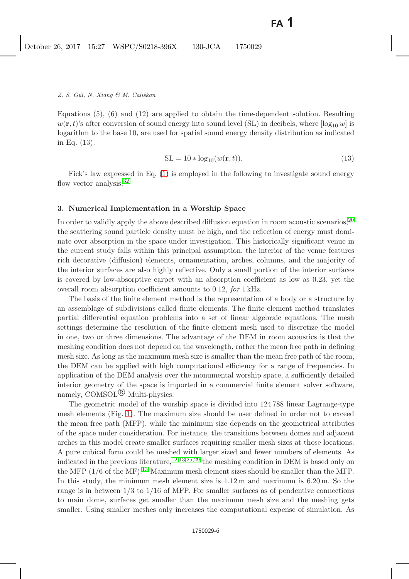Equations (5), (6) and (12) are applied to obtain the time-dependent solution. Resulting  $w(\mathbf{r}, t)$ 's after conversion of sound energy into sound level (SL) in decibels, where  $\lceil \log_{10} w \rceil$  is logarithm to the base 10, are used for spatial sound energy density distribution as indicated in Eq. (13).

$$
SL = 10 * \log_{10}(w(\mathbf{r}, t)).
$$
\n(13)

Fick's law expressed in Eq. [\(1\)](#page-3-0) is employed in the following to investigate sound energy flow vector analysis.<sup>[32](#page-15-14)</sup>

#### <span id="page-5-0"></span>**3. Numerical Implementation in a Worship Space**

In order to validly apply the above described diffusion equation in room acoustic scenarios,  $^{20}$  $^{20}$  $^{20}$ the scattering sound particle density must be high, and the reflection of energy must dominate over absorption in the space under investigation. This historically significant venue in the current study falls within this principal assumption, the interior of the venue features rich decorative (diffusion) elements, ornamentation, arches, columns, and the majority of the interior surfaces are also highly reflective. Only a small portion of the interior surfaces is covered by low-absorptive carpet with an absorption coefficient as low as 0.23, yet the overall room absorption coefficient amounts to 0.12, *for* 1 kHz.

The basis of the finite element method is the representation of a body or a structure by an assemblage of subdivisions called finite elements. The finite element method translates partial differential equation problems into a set of linear algebraic equations. The mesh settings determine the resolution of the finite element mesh used to discretize the model in one, two or three dimensions. The advantage of the DEM in room acoustics is that the meshing condition does not depend on the wavelength, rather the mean free path in defining mesh size. As long as the maximum mesh size is smaller than the mean free path of the room, the DEM can be applied with high computational efficiency for a range of frequencies. In application of the DEM analysis over the monumental worship space, a sufficiently detailed interior geometry of the space is imported in a commercial finite element solver software, namely,  $COMSOL^{\mathbb{Q}}$  Multi-physics.

The geometric model of the worship space is divided into 124 788 linear Lagrange-type mesh elements (Fig. [1\)](#page-6-0). The maximum size should be user defined in order not to exceed the mean free path (MFP), while the minimum size depends on the geometrical attributes of the space under consideration. For instance, the transitions between domes and adjacent arches in this model create smaller surfaces requiring smaller mesh sizes at those locations. A pure cubical form could be meshed with larger sized and fewer numbers of elements. As indicated in the previous literature,<sup>[12,](#page-14-9)[13](#page-14-12)[,25,](#page-15-7)[29](#page-15-11)</sup> the meshing condition in DEM is based only on the MFP  $(1/6)$  of the MF).<sup>[13](#page-14-12)</sup> Maximum mesh element sizes should be smaller than the MFP. In this study, the minimum mesh element size is 1.12 m and maximum is 6.20 m. So the range is in between  $1/3$  to  $1/16$  of MFP. For smaller surfaces as of pendentive connections to main dome, surfaces get smaller than the maximum mesh size and the meshing gets smaller. Using smaller meshes only increases the computational expense of simulation. As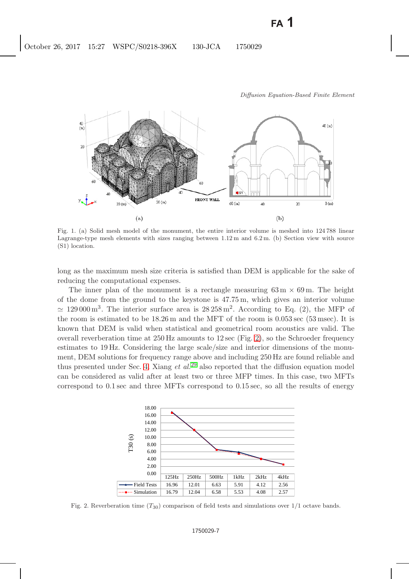

<span id="page-6-0"></span>Fig. 1. (a) Solid mesh model of the monument, the entire interior volume is meshed into 124 788 linear Lagrange-type mesh elements with sizes ranging between 1.12 m and 6.2 m. (b) Section view with source (S1) location.

long as the maximum mesh size criteria is satisfied than DEM is applicable for the sake of reducing the computational expenses.

The inner plan of the monument is a rectangle measuring  $63 \text{ m} \times 69 \text{ m}$ . The height of the dome from the ground to the keystone is 47.75 m, which gives an interior volume  $\approx 129000 \,\mathrm{m}^3$ . The interior surface area is  $28258 \,\mathrm{m}^2$ . According to Eq. (2), the MFP of the room is estimated to be 18.26 m and the MFT of the room is 0.053 sec (53 msec). It is known that DEM is valid when statistical and geometrical room acoustics are valid. The overall reverberation time at  $250 \text{ Hz}$  amounts to  $12 \text{ sec}$  (Fig. [2\)](#page-6-1), so the Schroeder frequency estimates to 19 Hz. Considering the large scale/size and interior dimensions of the monument, DEM solutions for frequency range above and including 250 Hz are found reliable and thus presented under Sec. [4.](#page-7-0) Xiang *et al.*[29](#page-15-11) also reported that the diffusion equation model can be considered as valid after at least two or three MFP times. In this case, two MFTs correspond to 0.1 sec and three MFTs correspond to 0.15 sec, so all the results of energy



<span id="page-6-1"></span>Fig. 2. Reverberation time (*T*30) comparison of field tests and simulations over 1/1 octave bands.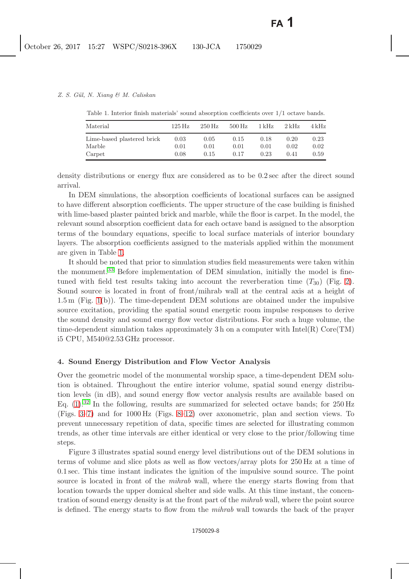<span id="page-7-1"></span>

| Material                   | $125\,\mathrm{Hz}$ | $250 \,\mathrm{Hz}$ | $500 \text{ Hz}$ | 1 kHz | $2\,\mathrm{kHz}$ | 4 kHz |
|----------------------------|--------------------|---------------------|------------------|-------|-------------------|-------|
| Lime-based plastered brick | 0.03               | 0.05                | 0.15             | 0.18  | 0.20              | 0.23  |
| Marble                     | 0.01               | 0.01                | 0.01             | 0.01  | 0.02              | 0.02  |
| Carpet                     | 0.08               | 0.15                | 0.17             | 0.23  | 0.41              | 0.59  |

Table 1. Interior finish materials' sound absorption coefficients over 1/1 octave bands.

density distributions or energy flux are considered as to be 0.2 sec after the direct sound arrival.

In DEM simulations, the absorption coefficients of locational surfaces can be assigned to have different absorption coefficients. The upper structure of the case building is finished with lime-based plaster painted brick and marble, while the floor is carpet. In the model, the relevant sound absorption coefficient data for each octave band is assigned to the absorption terms of the boundary equations, specific to local surface materials of interior boundary layers. The absorption coefficients assigned to the materials applied within the monument are given in Table [1.](#page-7-1)

It should be noted that prior to simulation studies field measurements were taken within the monument.<sup>[33](#page-15-15)</sup> Before implementation of DEM simulation, initially the model is finetuned with field test results taking into account the reverberation time  $(T_{30})$  (Fig. [2\)](#page-6-1). Sound source is located in front of front/mihrab wall at the central axis at a height of 1.5 m (Fig. [1\(](#page-6-0)b)). The time-dependent DEM solutions are obtained under the impulsive source excitation, providing the spatial sound energetic room impulse responses to derive the sound density and sound energy flow vector distributions. For such a huge volume, the time-dependent simulation takes approximately 3 h on a computer with  $Intel(R)$  Core $(TM)$ i5 CPU, M540@2.53 GHz processor.

### <span id="page-7-0"></span>**4. Sound Energy Distribution and Flow Vector Analysis**

Over the geometric model of the monumental worship space, a time-dependent DEM solution is obtained. Throughout the entire interior volume, spatial sound energy distribution levels (in dB), and sound energy flow vector analysis results are available based on Eq.  $(1).^{32}$  $(1).^{32}$  $(1).^{32}$  $(1).^{32}$  In the following, results are summarized for selected octave bands; for  $250 \text{ Hz}$ (Figs. [3–](#page-8-0)[7\)](#page-10-0) and for 1000 Hz (Figs. [8–](#page-10-1)[12\)](#page-12-0) over axonometric, plan and section views. To prevent unnecessary repetition of data, specific times are selected for illustrating common trends, as other time intervals are either identical or very close to the prior/following time steps.

Figure 3 illustrates spatial sound energy level distributions out of the DEM solutions in terms of volume and slice plots as well as flow vectors/array plots for 250 Hz at a time of 0.1 sec. This time instant indicates the ignition of the impulsive sound source. The point source is located in front of the *mihrab* wall, where the energy starts flowing from that location towards the upper domical shelter and side walls. At this time instant, the concentration of sound energy density is at the front part of the *mihrab* wall, where the point source is defined. The energy starts to flow from the *mihrab* wall towards the back of the prayer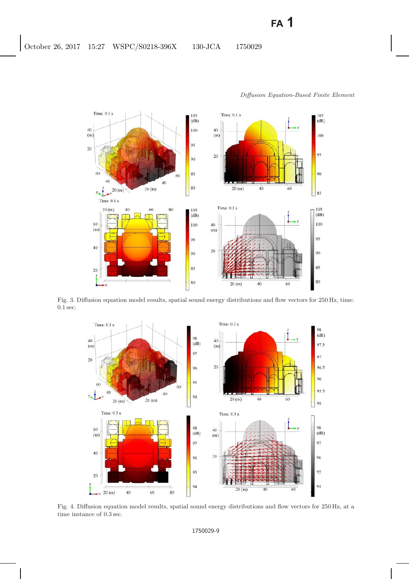

<span id="page-8-0"></span>Fig. 3. Diffusion equation model results, spatial sound energy distributions and flow vectors for 250 Hz, time: 0.1 sec.



<span id="page-8-1"></span>Fig. 4. Diffusion equation model results, spatial sound energy distributions and flow vectors for 250 Hz, at a time instance of 0.3 sec.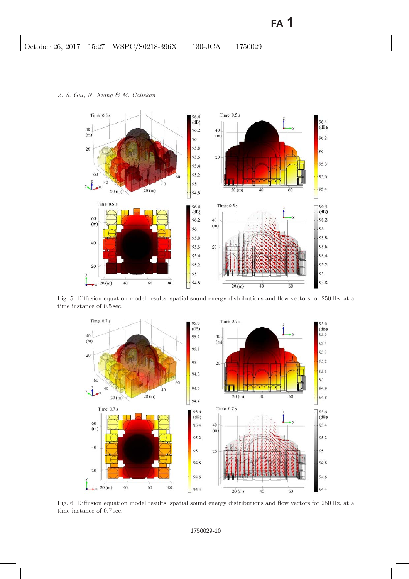

Fig. 5. Diffusion equation model results, spatial sound energy distributions and flow vectors for 250 Hz, at a time instance of 0.5 sec.



Fig. 6. Diffusion equation model results, spatial sound energy distributions and flow vectors for 250 Hz, at a time instance of 0.7 sec.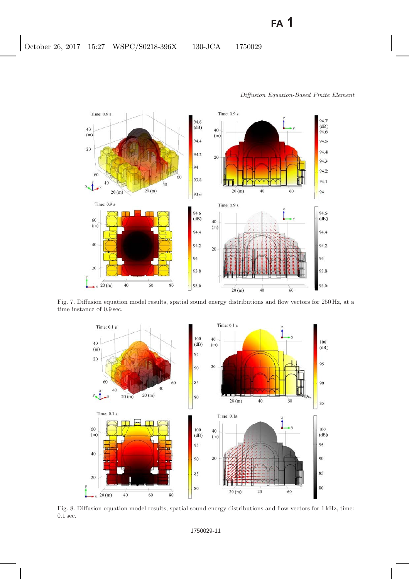

<span id="page-10-0"></span>Fig. 7. Diffusion equation model results, spatial sound energy distributions and flow vectors for 250 Hz, at a time instance of 0.9 sec.



<span id="page-10-1"></span>Fig. 8. Diffusion equation model results, spatial sound energy distributions and flow vectors for 1 kHz, time: 0.1 sec.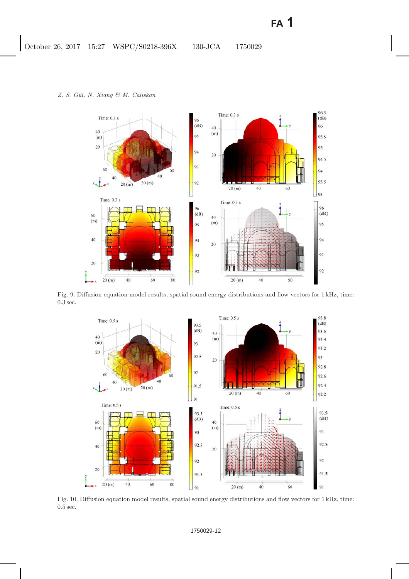

<span id="page-11-0"></span>Fig. 9. Diffusion equation model results, spatial sound energy distributions and flow vectors for 1 kHz, time: 0.3 sec.



Fig. 10. Diffusion equation model results, spatial sound energy distributions and flow vectors for 1 kHz, time: 0.5 sec.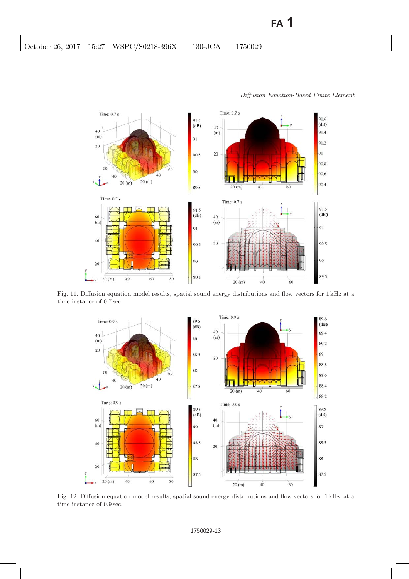

<span id="page-12-1"></span>Fig. 11. Diffusion equation model results, spatial sound energy distributions and flow vectors for 1 kHz at a time instance of 0.7 sec.



<span id="page-12-0"></span>Fig. 12. Diffusion equation model results, spatial sound energy distributions and flow vectors for 1 kHz, at a time instance of 0.9 sec.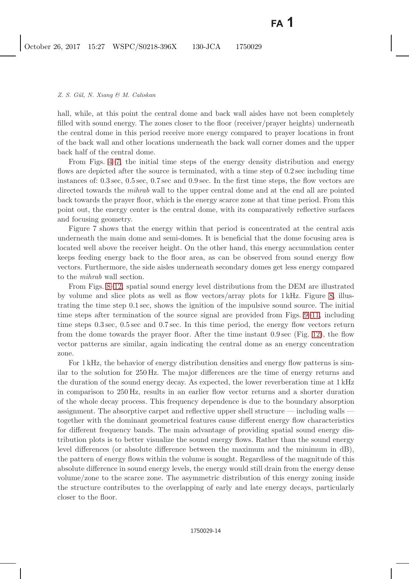hall, while, at this point the central dome and back wall aisles have not been completely filled with sound energy. The zones closer to the floor (receiver/prayer heights) underneath the central dome in this period receive more energy compared to prayer locations in front of the back wall and other locations underneath the back wall corner domes and the upper back half of the central dome.

From Figs. [4](#page-8-1)[–7,](#page-10-0) the initial time steps of the energy density distribution and energy flows are depicted after the source is terminated, with a time step of 0.2 sec including time instances of: 0.3 sec, 0.5 sec, 0.7 sec and 0.9 sec. In the first time steps, the flow vectors are directed towards the *mihrab* wall to the upper central dome and at the end all are pointed back towards the prayer floor, which is the energy scarce zone at that time period. From this point out, the energy center is the central dome, with its comparatively reflective surfaces and focusing geometry.

Figure 7 shows that the energy within that period is concentrated at the central axis underneath the main dome and semi-domes. It is beneficial that the dome focusing area is located well above the receiver height. On the other hand, this energy accumulation center keeps feeding energy back to the floor area, as can be observed from sound energy flow vectors. Furthermore, the side aisles underneath secondary domes get less energy compared to the *mihrab* wall section.

From Figs. [8–](#page-10-1)[12,](#page-12-0) spatial sound energy level distributions from the DEM are illustrated by volume and slice plots as well as flow vectors/array plots for 1 kHz. Figure [8,](#page-10-1) illustrating the time step 0.1 sec, shows the ignition of the impulsive sound source. The initial time steps after termination of the source signal are provided from Figs. [9](#page-11-0)[–11,](#page-12-1) including time steps 0.3 sec, 0.5 sec and 0.7 sec. In this time period, the energy flow vectors return from the dome towards the prayer floor. After the time instant 0.9 sec (Fig. [12\)](#page-12-0), the flow vector patterns are similar, again indicating the central dome as an energy concentration zone.

For 1 kHz, the behavior of energy distribution densities and energy flow patterns is similar to the solution for 250 Hz. The major differences are the time of energy returns and the duration of the sound energy decay. As expected, the lower reverberation time at 1 kHz in comparison to 250 Hz, results in an earlier flow vector returns and a shorter duration of the whole decay process. This frequency dependence is due to the boundary absorption assignment. The absorptive carpet and reflective upper shell structure — including walls together with the dominant geometrical features cause different energy flow characteristics for different frequency bands. The main advantage of providing spatial sound energy distribution plots is to better visualize the sound energy flows. Rather than the sound energy level differences (or absolute difference between the maximum and the minimum in dB), the pattern of energy flows within the volume is sought. Regardless of the magnitude of this absolute difference in sound energy levels, the energy would still drain from the energy dense volume/zone to the scarce zone. The asymmetric distribution of this energy zoning inside the structure contributes to the overlapping of early and late energy decays, particularly closer to the floor.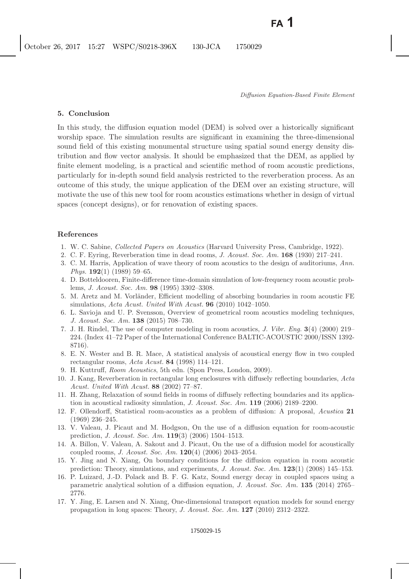# **5. Conclusion**

In this study, the diffusion equation model (DEM) is solved over a historically significant worship space. The simulation results are significant in examining the three-dimensional sound field of this existing monumental structure using spatial sound energy density distribution and flow vector analysis. It should be emphasized that the DEM, as applied by finite element modeling, is a practical and scientific method of room acoustic predictions, particularly for in-depth sound field analysis restricted to the reverberation process. As an outcome of this study, the unique application of the DEM over an existing structure, will motivate the use of this new tool for room acoustics estimations whether in design of virtual spaces (concept designs), or for renovation of existing spaces.

# <span id="page-14-2"></span><span id="page-14-1"></span><span id="page-14-0"></span>**References**

- 1. W. C. Sabine, *Collected Papers on Acoustics* (Harvard University Press, Cambridge, 1922).
- <span id="page-14-3"></span>2. C. F. Eyring, Reverberation time in dead rooms, *J. Acoust. Soc. Am.* **168** (1930) 217–241.
- 3. C. M. Harris, Application of wave theory of room acoustics to the design of auditoriums, *Ann. Phys.* **192**(1) (1989) 59–65.
- 4. D. Botteldooren, Finite-difference time-domain simulation of low-frequency room acoustic problems, *J. Acoust. Soc. Am.* **98** (1995) 3302–3308.
- 5. M. Aretz and M. Vorländer, Efficient modelling of absorbing boundaries in room acoustic FE simulations, *Acta Acust. United With Acust.* **96** (2010) 1042–1050.
- <span id="page-14-4"></span>6. L. Savioja and U. P. Svensson, Overview of geometrical room acoustics modeling techniques, *J. Acoust. Soc. Am.* **138** (2015) 708–730.
- <span id="page-14-5"></span>7. J. H. Rindel, The use of computer modeling in room acoustics, *J. Vibr. Eng.* **3**(4) (2000) 219– 224. (Index 41–72 Paper of the International Conference BALTIC-ACOUSTIC 2000/ISSN 1392- 8716).
- <span id="page-14-6"></span>8. E. N. Wester and B. R. Mace, A statistical analysis of acoustical energy flow in two coupled rectangular rooms, *Acta Acust.* **84** (1998) 114–121.
- 9. H. Kuttruff, *Room Acoustics*, 5th edn. (Spon Press, London, 2009).
- <span id="page-14-7"></span>10. J. Kang, Reverberation in rectangular long enclosures with diffusely reflecting boundaries, *Acta Acust. United With Acust.* **88** (2002) 77–87.
- <span id="page-14-8"></span>11. H. Zhang, Relaxation of sound fields in rooms of diffusely reflecting boundaries and its application in acoustical radiosity simulation, *J. Acoust. Soc. Am.* **119** (2006) 2189–2200.
- <span id="page-14-9"></span>12. F. Ollendorff, Statistical room-acoustics as a problem of diffusion: A proposal, *Acustica* **21** (1969) 236–245.
- <span id="page-14-12"></span>13. V. Valeau, J. Picaut and M. Hodgson, On the use of a diffusion equation for room-acoustic prediction, *J. Acoust. Soc. Am.* **119**(3) (2006) 1504–1513.
- <span id="page-14-13"></span>14. A. Billon, V. Valeau, A. Sakout and J. Picaut, On the use of a diffusion model for acoustically coupled rooms, *J. Acoust. Soc. Am.* **120**(4) (2006) 2043–2054.
- <span id="page-14-14"></span>15. Y. Jing and N. Xiang, On boundary conditions for the diffusion equation in room acoustic prediction: Theory, simulations, and experiments, *J. Acoust. Soc. Am.* **123**(1) (2008) 145–153.
- <span id="page-14-10"></span>16. P. Luizard, J.-D. Polack and B. F. G. Katz, Sound energy decay in coupled spaces using a parametric analytical solution of a diffusion equation, *J. Acoust. Soc. Am.* **135** (2014) 2765– 2776.
- <span id="page-14-11"></span>17. Y. Jing, E. Larsen and N. Xiang, One-dimensional transport equation models for sound energy propagation in long spaces: Theory, *J. Acoust. Soc. Am.* **127** (2010) 2312–2322.